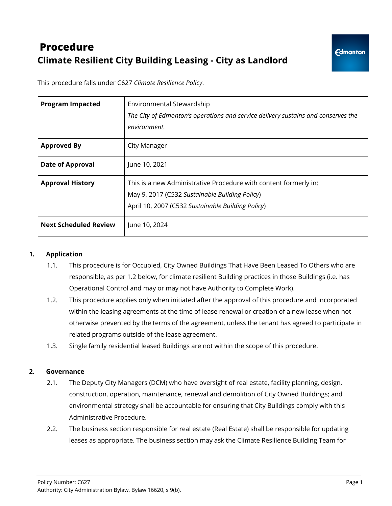# **Procedure Climate Resilient City Building Leasing - City as Landlord**

This procedure falls under C627 *Climate Resilience Policy*.

| <b>Program Impacted</b>      | Environmental Stewardship<br>The City of Edmonton's operations and service delivery sustains and conserves the<br>environment.                                          |
|------------------------------|-------------------------------------------------------------------------------------------------------------------------------------------------------------------------|
| <b>Approved By</b>           | City Manager                                                                                                                                                            |
| <b>Date of Approval</b>      | June 10, 2021                                                                                                                                                           |
| <b>Approval History</b>      | This is a new Administrative Procedure with content formerly in:<br>May 9, 2017 (C532 Sustainable Building Policy)<br>April 10, 2007 (C532 Sustainable Building Policy) |
| <b>Next Scheduled Review</b> | June 10, 2024                                                                                                                                                           |

#### **1. Application**

- 1.1. This procedure is for Occupied, City Owned Buildings That Have Been Leased To Others who are responsible, as per 1.2 below, for climate resilient Building practices in those Buildings (i.e. has Operational Control and may or may not have Authority to Complete Work).
- 1.2. This procedure applies only when initiated after the approval of this procedure and incorporated within the leasing agreements at the time of lease renewal or creation of a new lease when not otherwise prevented by the terms of the agreement, unless the tenant has agreed to participate in related programs outside of the lease agreement.
- 1.3. Single family residential leased Buildings are not within the scope of this procedure.

#### **2. Governance**

- 2.1. The Deputy City Managers (DCM) who have oversight of real estate, facility planning, design, construction, operation, maintenance, renewal and demolition of City Owned Buildings; and environmental strategy shall be accountable for ensuring that City Buildings comply with this Administrative Procedure.
- 2.2. The business section responsible for real estate (Real Estate) shall be responsible for updating leases as appropriate. The business section may ask the Climate Resilience Building Team for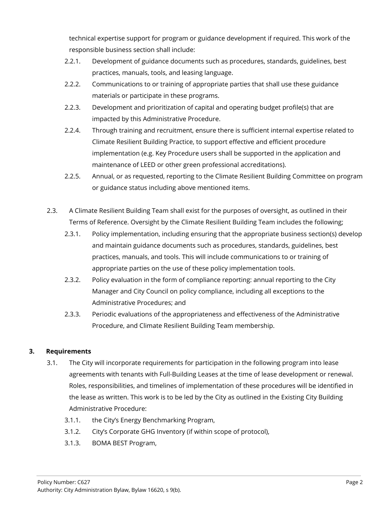technical expertise support for program or guidance development if required. This work of the responsible business section shall include:

- 2.2.1. Development of guidance documents such as procedures, standards, guidelines, best practices, manuals, tools, and leasing language.
- 2.2.2. Communications to or training of appropriate parties that shall use these guidance materials or participate in these programs.
- 2.2.3. Development and prioritization of capital and operating budget profile(s) that are impacted by this Administrative Procedure.
- 2.2.4. Through training and recruitment, ensure there is sufficient internal expertise related to Climate Resilient Building Practice, to support effective and efficient procedure implementation (e.g. Key Procedure users shall be supported in the application and maintenance of LEED or other green professional accreditations).
- 2.2.5. Annual, or as requested, reporting to the Climate Resilient Building Committee on program or guidance status including above mentioned items.
- 2.3. A Climate Resilient Building Team shall exist for the purposes of oversight, as outlined in their Terms of Reference. Oversight by the Climate Resilient Building Team includes the following;
	- 2.3.1. Policy implementation, including ensuring that the appropriate business section(s) develop and maintain guidance documents such as procedures, standards, guidelines, best practices, manuals, and tools. This will include communications to or training of appropriate parties on the use of these policy implementation tools.
	- 2.3.2. Policy evaluation in the form of compliance reporting: annual reporting to the City Manager and City Council on policy compliance, including all exceptions to the Administrative Procedures; and
	- 2.3.3. Periodic evaluations of the appropriateness and effectiveness of the Administrative Procedure, and Climate Resilient Building Team membership.

## **3. Requirements**

- 3.1. The City will incorporate requirements for participation in the following program into lease agreements with tenants with Full-Building Leases at the time of lease development or renewal. Roles, responsibilities, and timelines of implementation of these procedures will be identified in the lease as written. This work is to be led by the City as outlined in the Existing City Building Administrative Procedure:
	- 3.1.1. the City's Energy Benchmarking Program,
	- 3.1.2. City's Corporate GHG Inventory (if within scope of protocol),
	- 3.1.3. BOMA BEST Program,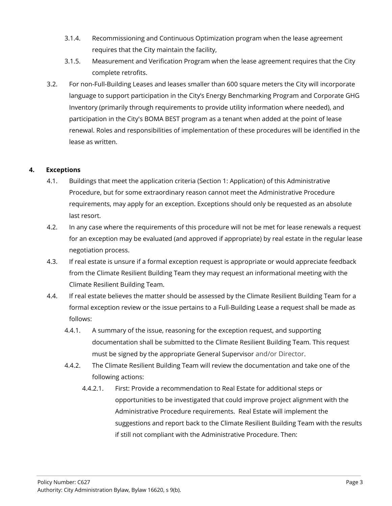- 3.1.4. Recommissioning and Continuous Optimization program when the lease agreement requires that the City maintain the facility,
- 3.1.5. Measurement and Verification Program when the lease agreement requires that the City complete retrofits.
- 3.2. For non-Full-Building Leases and leases smaller than 600 square meters the City will incorporate language to support participation in the City's Energy Benchmarking Program and Corporate GHG Inventory (primarily through requirements to provide utility information where needed), and participation in the City's BOMA BEST program as a tenant when added at the point of lease renewal. Roles and responsibilities of implementation of these procedures will be identified in the lease as written.

## **4. Exceptions**

- 4.1. Buildings that meet the application criteria (Section 1: Application) of this Administrative Procedure, but for some extraordinary reason cannot meet the Administrative Procedure requirements, may apply for an exception. Exceptions should only be requested as an absolute last resort.
- 4.2. In any case where the requirements of this procedure will not be met for lease renewals a request for an exception may be evaluated (and approved if appropriate) by real estate in the regular lease negotiation process.
- 4.3. If real estate is unsure if a formal exception request is appropriate or would appreciate feedback from the Climate Resilient Building Team they may request an informational meeting with the Climate Resilient Building Team.
- 4.4. If real estate believes the matter should be assessed by the Climate Resilient Building Team for a formal exception review or the issue pertains to a Full-Building Lease a request shall be made as follows:
	- 4.4.1. A summary of the issue, reasoning for the exception request, and supporting documentation shall be submitted to the Climate Resilient Building Team. This request must be signed by the appropriate General Supervisor and/or Director.
	- 4.4.2. The Climate Resilient Building Team will review the documentation and take one of the following actions:
		- 4.4.2.1. First: Provide a recommendation to Real Estate for additional steps or opportunities to be investigated that could improve project alignment with the Administrative Procedure requirements. Real Estate will implement the suggestions and report back to the Climate Resilient Building Team with the results if still not compliant with the Administrative Procedure. Then: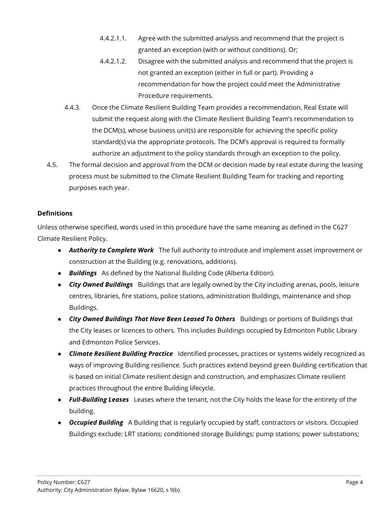- 4.4.2.1.1. Agree with the submitted analysis and recommend that the project is granted an exception (with or without conditions). Or;
- 4.4.2.1.2. Disagree with the submitted analysis and recommend that the project is not granted an exception (either in full or part). Providing a recommendation for how the project could meet the Administrative Procedure requirements.
- 4.4.3. Once the Climate Resilient Building Team provides a recommendation, Real Estate will submit the request along with the Climate Resilient Building Team's recommendation to the DCM(s), whose business unit(s) are responsible for achieving the specific policy standard(s) via the appropriate protocols. The DCM's approval is required to formally authorize an adjustment to the policy standards through an exception to the policy.
- 4.5. The formal decision and approval from the DCM or decision made by real estate during the leasing process must be submitted to the Climate Resilient Building Team for tracking and reporting purposes each year.

## **Definitions**

Unless otherwise specified, words used in this procedure have the same meaning as defined in the C627 Climate Resilient Policy.

- *Authority to Complete Work* The full authority to introduce and implement asset improvement or construction at the Building (e.g. renovations, additions).
- *Buildings* As defined by the National Building Code (Alberta Edition).
- *City Owned Buildings* Buildings that are legally owned by the City including arenas, pools, leisure centres, libraries, fire stations, police stations, administration Buildings, maintenance and shop Buildings.
- *City Owned Buildings That Have Been Leased To Others* Buildings or portions of Buildings that the City leases or licences to others. This includes Buildings occupied by Edmonton Public Library and Edmonton Police Services.
- *Climate Resilient Building Practice* Identified processes, practices or systems widely recognized as ways of improving Building resilience. Such practices extend beyond green Building certification that is based on initial Climate resilient design and construction, and emphasizes Climate resilient practices throughout the entire Building lifecycle.
- *Full-Building Leases* Leases where the tenant, not the City holds the lease for the entirety of the building.
- *Occupied Building* A Building that is regularly occupied by staff, contractors or visitors. Occupied Buildings exclude: LRT stations; conditioned storage Buildings; pump stations; power substations;